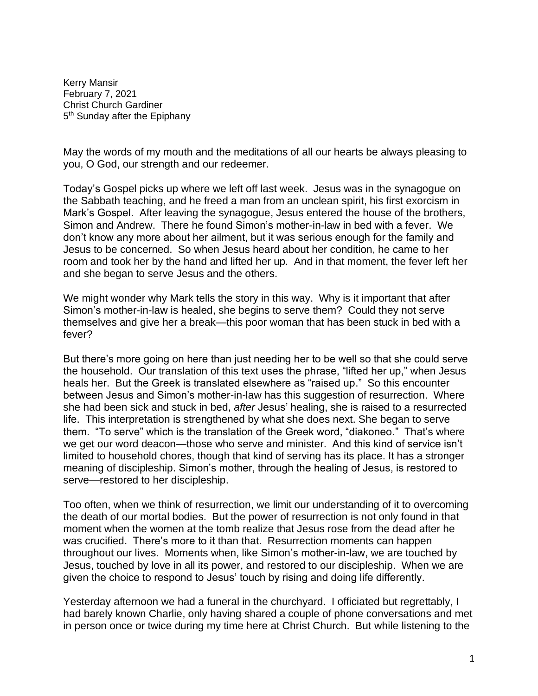Kerry Mansir February 7, 2021 Christ Church Gardiner 5<sup>th</sup> Sunday after the Epiphany

May the words of my mouth and the meditations of all our hearts be always pleasing to you, O God, our strength and our redeemer.

Today's Gospel picks up where we left off last week. Jesus was in the synagogue on the Sabbath teaching, and he freed a man from an unclean spirit, his first exorcism in Mark's Gospel. After leaving the synagogue, Jesus entered the house of the brothers, Simon and Andrew. There he found Simon's mother-in-law in bed with a fever. We don't know any more about her ailment, but it was serious enough for the family and Jesus to be concerned. So when Jesus heard about her condition, he came to her room and took her by the hand and lifted her up. And in that moment, the fever left her and she began to serve Jesus and the others.

We might wonder why Mark tells the story in this way. Why is it important that after Simon's mother-in-law is healed, she begins to serve them? Could they not serve themselves and give her a break—this poor woman that has been stuck in bed with a fever?

But there's more going on here than just needing her to be well so that she could serve the household. Our translation of this text uses the phrase, "lifted her up," when Jesus heals her. But the Greek is translated elsewhere as "raised up." So this encounter between Jesus and Simon's mother-in-law has this suggestion of resurrection. Where she had been sick and stuck in bed, *after* Jesus' healing, she is raised to a resurrected life. This interpretation is strengthened by what she does next. She began to serve them. "To serve" which is the translation of the Greek word, "diakoneo." That's where we get our word deacon—those who serve and minister. And this kind of service isn't limited to household chores, though that kind of serving has its place. It has a stronger meaning of discipleship. Simon's mother, through the healing of Jesus, is restored to serve—restored to her discipleship.

Too often, when we think of resurrection, we limit our understanding of it to overcoming the death of our mortal bodies. But the power of resurrection is not only found in that moment when the women at the tomb realize that Jesus rose from the dead after he was crucified. There's more to it than that. Resurrection moments can happen throughout our lives. Moments when, like Simon's mother-in-law, we are touched by Jesus, touched by love in all its power, and restored to our discipleship. When we are given the choice to respond to Jesus' touch by rising and doing life differently.

Yesterday afternoon we had a funeral in the churchyard. I officiated but regrettably, I had barely known Charlie, only having shared a couple of phone conversations and met in person once or twice during my time here at Christ Church. But while listening to the